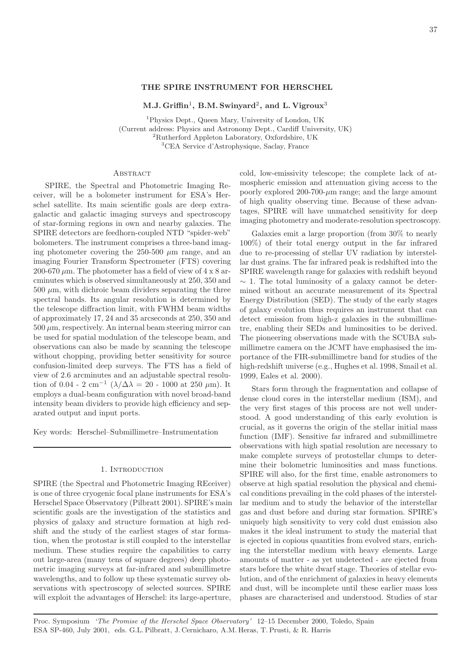# **THE SPIRE INSTRUMENT FOR HERSCHEL**

**M.J. Griffin**1**, B.M. Swinyard**2**, and L. Vigroux**<sup>3</sup>

Physics Dept., Queen Mary, University of London, UK (Current address: Physics and Astronomy Dept., Cardiff University, UK) Rutherford Appleton Laboratory, Oxfordshire, UK CEA Service d'Astrophysique, Saclay, France

## **ABSTRACT**

SPIRE, the Spectral and Photometric Imaging Receiver, will be a bolometer instrument for ESA's Herschel satellite. Its main scientific goals are deep extragalactic and galactic imaging surveys and spectroscopy of star-forming regions in own and nearby galaxies. The SPIRE detectors are feedhorn-coupled NTD "spider-web" bolometers. The instrument comprises a three-band imaging photometer covering the 250-500  $\mu$ m range, and an imaging Fourier Transform Spectrometer (FTS) covering 200-670  $\mu$ m. The photometer has a field of view of 4 x 8 arcminutes which is observed simultaneously at 250, 350 and  $500 \ \mu \text{m}$ , with dichroic beam dividers separating the three spectral bands. Its angular resolution is determined by the telescope diffraction limit, with FWHM beam widths of approximately 17, 24 and 35 arcseconds at 250, 350 and  $500 \mu m$ , respectively. An internal beam steering mirror can be used for spatial modulation of the telescope beam, and observations can also be made by scanning the telescope without chopping, providing better sensitivity for source confusion-limited deep surveys. The FTS has a field of view of 2.6 arcminutes and an adjustable spectral resolution of 0.04 - 2 cm<sup>-1</sup> ( $\lambda/\Delta\lambda$  = 20 - 1000 at 250  $\mu$ m). It employs a dual-beam configuration with novel broad-band intensity beam dividers to provide high efficiency and separated output and input ports.

Key words: Herschel–Submillimetre–Instrumentation

# 1. Introduction

SPIRE (the Spectral and Photometric Imaging REceiver) is one of three cryogenic focal plane instruments for ESA's Herschel Space Observatory (Pilbratt 2001). SPIRE's main scientific goals are the investigation of the statistics and physics of galaxy and structure formation at high redshift and the study of the earliest stages of star formation, when the protostar is still coupled to the interstellar medium. These studies require the capabilities to carry out large-area (many tens of square degrees) deep photometric imaging surveys at far-infrared and submillimetre wavelengths, and to follow up these systematic survey observations with spectroscopy of selected sources. SPIRE will exploit the advantages of Herschel: its large-aperture,

cold, low-emissivity telescope; the complete lack of atmospheric emission and attenuation giving access to the poorly explored 200-700- $\mu$ m range; and the large amount of high quality observing time. Because of these advantages, SPIRE will have unmatched sensitivity for deep imaging photometry and moderate-resolution spectroscopy.

Galaxies emit a large proportion (from 30% to nearly 100%) of their total energy output in the far infrared due to re-processing of stellar UV radiation by interstellar dust grains. The far infrared peak is redshifted into the SPIRE wavelength range for galaxies with redshift beyond  $\sim$  1. The total luminosity of a galaxy cannot be determined without an accurate measurement of its Spectral Energy Distribution (SED). The study of the early stages of galaxy evolution thus requires an instrument that can detect emission from high-z galaxies in the submillimetre, enabling their SEDs and luminosities to be derived. The pioneering observations made with the SCUBA submillimetre camera on the JCMT have emphasised the importance of the FIR-submillimetre band for studies of the high-redshift universe (e.g., Hughes et al. 1998, Smail et al. 1999, Eales et al. 2000).

Stars form through the fragmentation and collapse of dense cloud cores in the interstellar medium (ISM), and the very first stages of this process are not well understood. A good understanding of this early evolution is crucial, as it governs the origin of the stellar initial mass function (IMF). Sensitive far infrared and submillimetre observations with high spatial resolution are necessary to make complete surveys of protostellar clumps to determine their bolometric luminosities and mass functions. SPIRE will also, for the first time, enable astronomers to observe at high spatial resolution the physical and chemical conditions prevailing in the cold phases of the interstellar medium and to study the behavior of the interstellar gas and dust before and during star formation. SPIRE's uniquely high sensitivity to very cold dust emission also makes it the ideal instrument to study the material that is ejected in copious quantities from evolved stars, enriching the interstellar medium with heavy elements. Large amounts of matter - as yet undetected - are ejected from stars before the white dwarf stage. Theories of stellar evolution, and of the enrichment of galaxies in heavy elements and dust, will be incomplete until these earlier mass loss phases are characterised and understood. Studies of star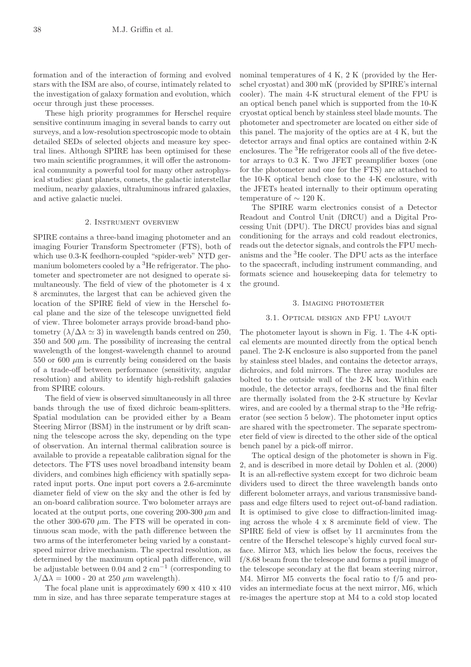formation and of the interaction of forming and evolved stars with the ISM are also, of course, intimately related to the investigation of galaxy formation and evolution, which occur through just these processes.

These high priority programmes for Herschel require sensitive continuum imaging in several bands to carry out surveys, and a low-resolution spectroscopic mode to obtain detailed SEDs of selected objects and measure key spectral lines. Although SPIRE has been optimised for these two main scientific programmes, it will offer the astronomical community a powerful tool for many other astrophysical studies: giant planets, comets, the galactic interstellar medium, nearby galaxies, ultraluminous infrared galaxies, and active galactic nuclei.

## 2. Instrument overview

SPIRE contains a three-band imaging photometer and an imaging Fourier Transform Spectrometer (FTS), both of which use 0.3-K feedhorn-coupled "spider-web" NTD germanium bolometers cooled by a <sup>3</sup>He refrigerator. The photometer and spectrometer are not designed to operate simultaneously. The field of view of the photometer is 4 x 8 arcminutes, the largest that can be achieved given the location of the SPIRE field of view in the Herschel focal plane and the size of the telescope unvignetted field of view. Three bolometer arrays provide broad-band photometry  $(\lambda/\Delta\lambda \simeq 3)$  in wavelength bands centred on 250, 350 and 500  $\mu$ m. The possibility of increasing the central wavelength of the longest-wavelength channel to around 550 or 600  $\mu$ m is currently being considered on the basis of a trade-off between performance (sensitivity, angular resolution) and ability to identify high-redshift galaxies from SPIRE colours.

The field of view is observed simultaneously in all three bands through the use of fixed dichroic beam-splitters. Spatial modulation can be provided either by a Beam Steering Mirror (BSM) in the instrument or by drift scanning the telescope across the sky, depending on the type of observation. An internal thermal calibration source is available to provide a repeatable calibration signal for the detectors. The FTS uses novel broadband intensity beam dividers, and combines high efficiency with spatially separated input ports. One input port covers a 2.6-arcminute diameter field of view on the sky and the other is fed by an on-board calibration source. Two bolometer arrays are located at the output ports, one covering 200-300  $\mu$ m and the other 300-670  $\mu$ m. The FTS will be operated in continuous scan mode, with the path difference between the two arms of the interferometer being varied by a constantspeed mirror drive mechanism. The spectral resolution, as determined by the maximum optical path difference, will be adjustable between 0.04 and 2 cm*−*<sup>1</sup> (corresponding to  $\lambda/\Delta\lambda = 1000$  - 20 at 250  $\mu$ m wavelength).

The focal plane unit is approximately 690 x 410 x 410 mm in size, and has three separate temperature stages at

nominal temperatures of 4 K, 2 K (provided by the Herschel cryostat) and 300 mK (provided by SPIRE's internal cooler). The main 4-K structural element of the FPU is an optical bench panel which is supported from the 10-K cryostat optical bench by stainless steel blade mounts. The photometer and spectrometer are located on either side of this panel. The majority of the optics are at 4 K, but the detector arrays and final optics are contained within 2-K enclosures. The <sup>3</sup>He refrigerator cools all of the five detector arrays to 0.3 K. Two JFET preamplifier boxes (one for the photometer and one for the FTS) are attached to the 10-K optical bench close to the 4-K enclosure, with the JFETs heated internally to their optimum operating temperature of  $\sim$  120 K.

The SPIRE warm electronics consist of a Detector Readout and Control Unit (DRCU) and a Digital Processing Unit (DPU). The DRCU provides bias and signal conditioning for the arrays and cold readout electronics, reads out the detector signals, and controls the FPU mechanisms and the  ${}^{3}$ He cooler. The DPU acts as the interface to the spacecraft, including instrument commanding, and formats science and housekeeping data for telemetry to the ground.

#### 3. Imaging photometer

### 3.1. Optical design and FPU layout

The photometer layout is shown in Fig. 1. The 4-K optical elements are mounted directly from the optical bench panel. The 2-K enclosure is also supported from the panel by stainless steel blades, and contains the detector arrays, dichroics, and fold mirrors. The three array modules are bolted to the outside wall of the 2-K box. Within each module, the detector arrays, feedhorns and the final filter are thermally isolated from the 2-K structure by Kevlar wires, and are cooled by a thermal strap to the  ${}^{3}$ He refrigerator (see section 5 below). The photometer input optics are shared with the spectrometer. The separate spectrometer field of view is directed to the other side of the optical bench panel by a pick-off mirror.

The optical design of the photometer is shown in Fig. 2, and is described in more detail by Dohlen et al. (2000) It is an all-reflective system except for two dichroic beam dividers used to direct the three wavelength bands onto different bolometer arrays, and various transmissive bandpass and edge filters used to reject out-of-band radiation. It is optimised to give close to diffraction-limited imaging across the whole 4 x 8 arcminute field of view. The SPIRE field of view is offset by 11 arcminutes from the centre of the Herschel telescope's highly curved focal surface. Mirror M3, which lies below the focus, receives the f/8.68 beam from the telescope and forms a pupil image of the telescope secondary at the flat beam steering mirror, M4. Mirror M5 converts the focal ratio to f/5 and provides an intermediate focus at the next mirror, M6, which re-images the aperture stop at M4 to a cold stop located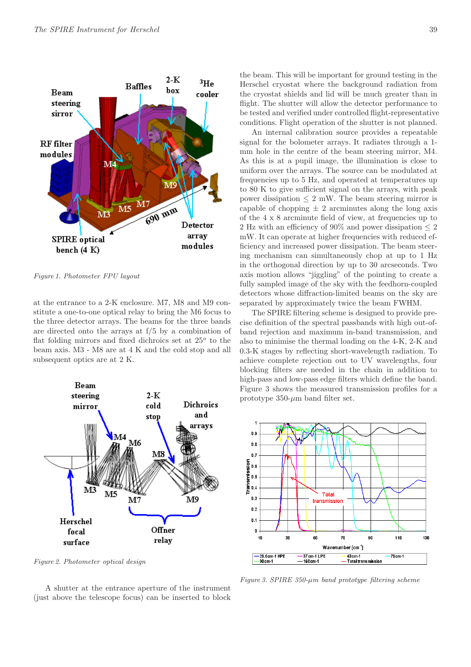

*Figure 1. Photometer FPU layout*

at the entrance to a 2-K enclosure. M7, M8 and M9 constitute a one-to-one optical relay to bring the M6 focus to the three detector arrays. The beams for the three bands are directed onto the arrays at f/5 by a combination of flat folding mirrors and fixed dichroics set at 25*<sup>o</sup>* to the beam axis. M3 - M8 are at 4 K and the cold stop and all subsequent optics are at 2 K.



*Figure 2. Photometer optical design*

A shutter at the entrance aperture of the instrument (just above the telescope focus) can be inserted to block

the beam. This will be important for ground testing in the Herschel cryostat where the background radiation from the cryostat shields and lid will be much greater than in flight. The shutter will allow the detector performance to be tested and verified under controlled flight-representative conditions. Flight operation of the shutter is not planned.

An internal calibration source provides a repeatable signal for the bolometer arrays. It radiates through a 1 mm hole in the centre of the beam steering mirror, M4. As this is at a pupil image, the illumination is close to uniform over the arrays. The source can be modulated at frequencies up to 5 Hz, and operated at temperatures up to 80 K to give sufficient signal on the arrays, with peak power dissipation  $\leq 2$  mW. The beam steering mirror is capable of chopping  $\pm 2$  arcminutes along the long axis of the 4 x 8 arcminute field of view, at frequencies up to 2 Hz with an efficiency of 90% and power dissipation  $\leq 2$ mW. It can operate at higher frequencies with reduced efficiency and increased power dissipation. The beam steering mechanism can simultaneously chop at up to 1 Hz in the orthogonal direction by up to 30 arcseconds. Two axis motion allows "jiggling" of the pointing to create a fully sampled image of the sky with the feedhorn-coupled detectors whose diffraction-limited beams on the sky are separated by approximately twice the beam FWHM.

The SPIRE filtering scheme is designed to provide precise definition of the spectral passbands with high out-ofband rejection and maximum in-band transmission, and also to minimise the thermal loading on the 4-K, 2-K and 0.3-K stages by reflecting short-wavelength radiation. To achieve complete rejection out to UV wavelengths, four blocking filters are needed in the chain in addition to high-pass and low-pass edge filters which define the band. Figure 3 shows the measured transmission profiles for a prototype  $350$ - $\mu$ m band filter set.



*Figure 3. SPIRE 350-*µ*m band prototype filtering scheme*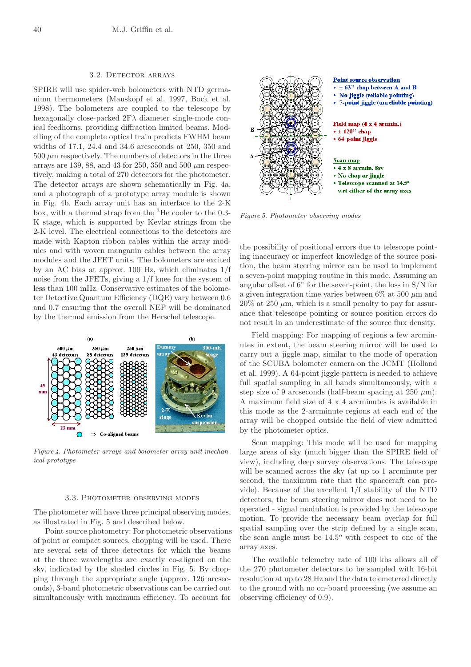# 3.2. Detector arrays

SPIRE will use spider-web bolometers with NTD germanium thermometers (Mauskopf et al. 1997, Bock et al. 1998). The bolometers are coupled to the telescope by hexagonally close-packed  $2F\lambda$  diameter single-mode conical feedhorns, providing diffraction limited beams. Modelling of the complete optical train predicts FWHM beam widths of 17.1, 24.4 and 34.6 arcseconds at 250, 350 and  $500 \mu m$  respectively. The numbers of detectors in the three arrays are 139, 88, and 43 for 250, 350 and 500  $\mu$ m respectively, making a total of 270 detectors for the photometer. The detector arrays are shown schematically in Fig. 4a, and a photograph of a prototype array module is shown in Fig. 4b. Each array unit has an interface to the 2-K box, with a thermal strap from the <sup>3</sup>He cooler to the 0.3- K stage, which is supported by Kevlar strings from the 2-K level. The electrical connections to the detectors are made with Kapton ribbon cables within the array modules and with woven manganin cables between the array modules and the JFET units. The bolometers are excited by an AC bias at approx. 100 Hz, which eliminates 1/f noise from the JFETs, giving a 1/f knee for the system of less than 100 mHz. Conservative estimates of the bolometer Detective Quantum Efficiency (DQE) vary between 0.6 and 0.7 ensuring that the overall NEP will be dominated by the thermal emission from the Herschel telescope.



*Figure 4. Photometer arrays and bolometer array unit mechanical prototype*

# 3.3. Photometer observing modes

The photometer will have three principal observing modes, as illustrated in Fig. 5 and described below.

Point source photometry: For photometric observations of point or compact sources, chopping will be used. There are several sets of three detectors for which the beams at the three wavelengths are exactly co-aligned on the sky, indicated by the shaded circles in Fig. 5. By chopping through the appropriate angle (approx. 126 arcseconds), 3-band photometric observations can be carried out simultaneously with maximum efficiency. To account for



*Figure 5. Photometer observing modes*

the possibility of positional errors due to telescope pointing inaccuracy or imperfect knowledge of the source position, the beam steering mirror can be used to implement a seven-point mapping routine in this mode. Assuming an angular offset of 6" for the seven-point, the loss in S/N for a given integration time varies between  $6\%$  at 500  $\mu$ m and  $20\%$  at  $250 \mu m$ , which is a small penalty to pay for assurance that telescope pointing or source position errors do not result in an underestimate of the source flux density.

Field mapping: For mapping of regions a few arcminutes in extent, the beam steering mirror will be used to carry out a jiggle map, similar to the mode of operation of the SCUBA bolometer camera on the JCMT (Holland et al. 1999). A 64-point jiggle pattern is needed to achieve full spatial sampling in all bands simultaneously, with a step size of 9 arcseconds (half-beam spacing at  $250 \mu m$ ). A maximum field size of 4 x 4 arcminutes is available in this mode as the 2-arcminute regions at each end of the array will be chopped outside the field of view admitted by the photometer optics.

Scan mapping: This mode will be used for mapping large areas of sky (much bigger than the SPIRE field of view), including deep survey observations. The telescope will be scanned across the sky (at up to 1 arcminute per second, the maximum rate that the spacecraft can provide). Because of the excellent 1/f stability of the NTD detectors, the beam steering mirror does not need to be operated - signal modulation is provided by the telescope motion. To provide the necessary beam overlap for full spatial sampling over the strip defined by a single scan, the scan angle must be 14.5*<sup>o</sup>* with respect to one of the array axes.

The available telemetry rate of 100 kbs allows all of the 270 photometer detectors to be sampled with 16-bit resolution at up to 28 Hz and the data telemetered directly to the ground with no on-board processing (we assume an observing efficiency of 0.9).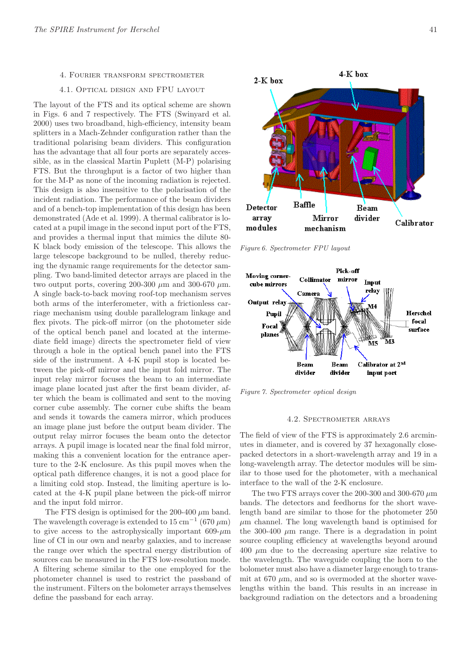# 4. Fourier transform spectrometer

#### 4.1. Optical design and FPU layout

The layout of the FTS and its optical scheme are shown in Figs. 6 and 7 respectively. The FTS (Swinyard et al. 2000) uses two broadband, high-efficiency, intensity beam splitters in a Mach-Zehnder configuration rather than the traditional polarising beam dividers. This configuration has the advantage that all four ports are separately accessible, as in the classical Martin Puplett (M-P) polarising FTS. But the throughput is a factor of two higher than for the M-P as none of the incoming radiation is rejected. This design is also insensitive to the polarisation of the incident radiation. The performance of the beam dividers and of a bench-top implementation of this design has been demonstrated (Ade et al. 1999). A thermal calibrator is located at a pupil image in the second input port of the FTS, and provides a thermal input that mimics the dilute 80- K black body emission of the telescope. This allows the large telescope background to be nulled, thereby reducing the dynamic range requirements for the detector sampling. Two band-limited detector arrays are placed in the two output ports, covering 200-300  $\mu$ m and 300-670  $\mu$ m. A single back-to-back moving roof-top mechanism serves both arms of the interferometer, with a frictionless carriage mechanism using double parallelogram linkage and flex pivots. The pick-off mirror (on the photometer side of the optical bench panel and located at the intermediate field image) directs the spectrometer field of view through a hole in the optical bench panel into the FTS side of the instrument. A 4-K pupil stop is located between the pick-off mirror and the input fold mirror. The input relay mirror focuses the beam to an intermediate image plane located just after the first beam divider, after which the beam is collimated and sent to the moving corner cube assembly. The corner cube shifts the beam and sends it towards the camera mirror, which produces an image plane just before the output beam divider. The output relay mirror focuses the beam onto the detector arrays. A pupil image is located near the final fold mirror, making this a convenient location for the entrance aperture to the 2-K enclosure. As this pupil moves when the optical path difference changes, it is not a good place for a limiting cold stop. Instead, the limiting aperture is located at the 4-K pupil plane between the pick-off mirror and the input fold mirror.

The FTS design is optimised for the 200-400  $\mu$ m band. The wavelength coverage is extended to 15 cm*−*<sup>1</sup> (670 µm) to give access to the astrophysically important  $609-\mu m$ line of CI in our own and nearby galaxies, and to increase the range over which the spectral energy distribution of sources can be measured in the FTS low-resolution mode. A filtering scheme similar to the one employed for the photometer channel is used to restrict the passband of the instrument. Filters on the bolometer arrays themselves define the passband for each array.



**Baffle** Detector Beam array divider Mirror Calibrator modules mechanism

*Figure 6. Spectrometer FPU layout*



*Figure 7. Spectrometer optical design*

# 4.2. Spectrometer arrays

The field of view of the FTS is approximately 2.6 arcminutes in diameter, and is covered by 37 hexagonally closepacked detectors in a short-wavelength array and 19 in a long-wavelength array. The detector modules will be similar to those used for the photometer, with a mechanical interface to the wall of the 2-K enclosure.

The two FTS arrays cover the 200-300 and 300-670  $\mu$ m bands. The detectors and feedhorns for the short wavelength band are similar to those for the photometer 250  $\mu$ m channel. The long wavelength band is optimised for the 300-400  $\mu$ m range. There is a degradation in point source coupling efficiency at wavelengths beyond around  $400 \mu m$  due to the decreasing aperture size relative to the wavelength. The waveguide coupling the horn to the bolometer must also have a diameter large enough to transmit at 670  $\mu$ m, and so is overmoded at the shorter wavelengths within the band. This results in an increase in background radiation on the detectors and a broadening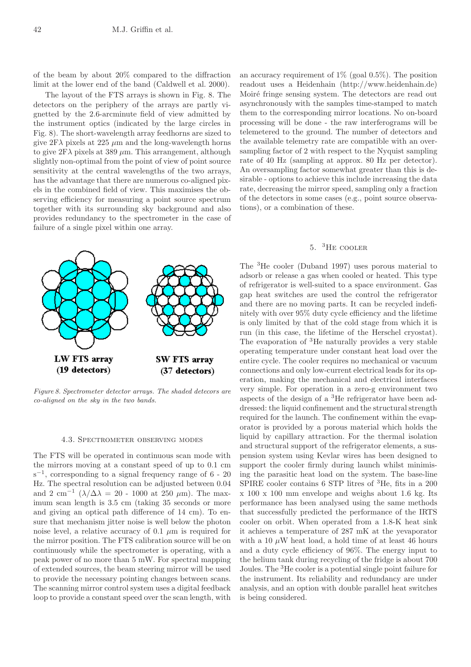of the beam by about 20% compared to the diffraction limit at the lower end of the band (Caldwell et al. 2000).

The layout of the FTS arrays is shown in Fig. 8. The detectors on the periphery of the arrays are partly vignetted by the 2.6-arcminute field of view admitted by the instrument optics (indicated by the large circles in Fig. 8). The short-wavelength array feedhorns are sized to give  $2F\lambda$  pixels at  $225 \mu m$  and the long-wavelength horns to give  $2F\lambda$  pixels at 389  $\mu$ m. This arrangement, although slightly non-optimal from the point of view of point source sensitivity at the central wavelengths of the two arrays, has the advantage that there are numerous co-aligned pixels in the combined field of view. This maximises the observing efficiency for measuring a point source spectrum together with its surrounding sky background and also provides redundancy to the spectrometer in the case of failure of a single pixel within one array.



**SW FTS array** 

LW FTS array

#### 4.3. Spectrometer observing modes

The FTS will be operated in continuous scan mode with the mirrors moving at a constant speed of up to 0.1 cm s*−*<sup>1</sup>, corresponding to a signal frequency range of 6 - 20 Hz. The spectral resolution can be adjusted between 0.04 and 2 cm<sup>-1</sup> ( $\lambda/\Delta\lambda$  = 20 - 1000 at 250 µm). The maximum scan length is 3.5 cm (taking 35 seconds or more and giving an optical path difference of 14 cm). To ensure that mechanism jitter noise is well below the photon noise level, a relative accuracy of 0.1  $\mu$ m is required for the mirror position. The FTS calibration source will be on continuously while the spectrometer is operating, with a peak power of no more than 5 mW. For spectral mapping of extended sources, the beam steering mirror will be used to provide the necessary pointing changes between scans. The scanning mirror control system uses a digital feedback loop to provide a constant speed over the scan length, with

an accuracy requirement of  $1\%$  (goal 0.5%). The position readout uses a Heidenhain (http://www.heidenhain.de) Moiré fringe sensing system. The detectors are read out asynchronously with the samples time-stamped to match them to the corresponding mirror locations. No on-board processing will be done - the raw interferograms will be telemetered to the ground. The number of detectors and the available telemetry rate are compatible with an oversampling factor of 2 with respect to the Nyquist sampling rate of 40 Hz (sampling at approx. 80 Hz per detector). An oversampling factor somewhat greater than this is desirable - options to achieve this include increasing the data rate, decreasing the mirror speed, sampling only a fraction of the detectors in some cases (e.g., point source observations), or a combination of these.

# 5. <sup>3</sup>He cooler

The <sup>3</sup>He cooler (Duband 1997) uses porous material to adsorb or release a gas when cooled or heated. This type of refrigerator is well-suited to a space environment. Gas gap heat switches are used the control the refrigerator and there are no moving parts. It can be recycled indefinitely with over 95% duty cycle efficiency and the lifetime is only limited by that of the cold stage from which it is run (in this case, the lifetime of the Herschel cryostat). The evaporation of <sup>3</sup>He naturally provides a very stable operating temperature under constant heat load over the entire cycle. The cooler requires no mechanical or vacuum connections and only low-current electrical leads for its operation, making the mechanical and electrical interfaces very simple. For operation in a zero-g environment two aspects of the design of a <sup>3</sup>He refrigerator have been addressed: the liquid confinement and the structural strength required for the launch. The confinement within the evaporator is provided by a porous material which holds the liquid by capillary attraction. For the thermal isolation and structural support of the refrigerator elements, a suspension system using Kevlar wires has been designed to support the cooler firmly during launch whilst minimising the parasitic heat load on the system. The base-line  ${\rm SPIRE}$  cooler contains 6 STP litres of  $^3{\rm He},$  fits in a  $200$ x 100 x 100 mm envelope and weighs about 1.6 kg. Its performance has been analysed using the same methods that successfully predicted the performance of the IRTS cooler on orbit. When operated from a 1.8-K heat sink it achieves a temperature of 287 mK at the yevaporator with a 10  $\mu$ W heat load, a hold time of at least 46 hours and a duty cycle efficiency of 96%. The energy input to the helium tank during recycling of the fridge is about 700 Joules. The <sup>3</sup>He cooler is a potential single point failure for the instrument. Its reliability and redundancy are under analysis, and an option with double parallel heat switches is being considered.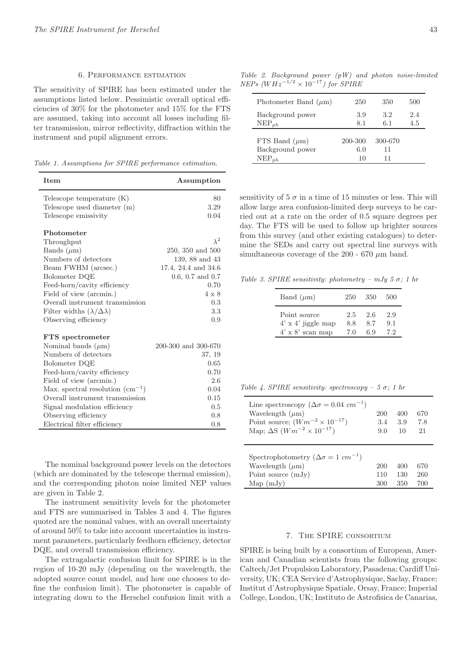## 6. Performance estimation

The sensitivity of SPIRE has been estimated under the assumptions listed below. Pessimistic overall optical efficiencies of 30% for the photometer and 15% for the FTS are assumed, taking into account all losses including filter transmission, mirror reflectivity, diffraction within the instrument and pupil alignment errors.

*Table 1. Assumptions for SPIRE performance estimation.*

| Item                                        | Assumption          |
|---------------------------------------------|---------------------|
| Telescope temperature $(K)$                 | 80                  |
| Telescope used diameter (m)                 | 3.29                |
| Telescope emissivity                        | 0.04                |
| Photometer                                  |                     |
| Throughput                                  | $\lambda^2$         |
| Bands $(\mu m)$                             | 250, 350 and 500    |
| Numbers of detectors                        | 139, 88 and 43      |
| Beam FWHM (arcsec.)                         | 17.4, 24.4 and 34.6 |
| Bolometer DQE                               | 0.6, 0.7, and 0.7   |
| Feed-horn/cavity efficiency                 | 0.70                |
| Field of view (arcmin.)                     | $4 \times 8$        |
| Overall instrument transmission             | 0.3                 |
| Filter widths $(\lambda/\Delta\lambda)$     | 3.3                 |
| Observing efficiency                        | 0.9                 |
| <b>FTS</b> spectrometer                     |                     |
| Nominal bands $(\mu m)$                     | 200-300 and 300-670 |
| Numbers of detectors                        | 37, 19              |
| Bolometer DQE                               | 0.65                |
| Feed-horn/cavity efficiency                 | 0.70                |
| Field of view (arcmin.)                     | 2.6                 |
| Max. spectral resolution $\text{cm}^{-1}$ ) | 0.04                |
| Overall instrument transmission             | 0.15                |
| Signal modulation efficiency                | 0.5                 |
| Observing efficiency                        | 0.8                 |
| Electrical filter efficiency                | 0.8                 |

The nominal background power levels on the detectors (which are dominated by the telescope thermal emission), and the corresponding photon noise limited NEP values are given in Table 2.

The instrument sensitivity levels for the photometer and FTS are summarised in Tables 3 and 4. The figures quoted are the nominal values, with an overall uncertainty of around 50% to take into account uncertainties in instrument parameters, particularly feedhorn efficiency, detector DQE, and overall transmission efficiency.

The extragalactic confusion limit for SPIRE is in the region of 10-20 mJy (depending on the wavelength, the adopted source count model, and how one chooses to define the confusion limit). The photometer is capable of integrating down to the Herschel confusion limit with a

*Table 2. Background power (pW) and photon noise-limited NEPs (*WHz*−*1*/*<sup>2</sup> *<sup>×</sup>* <sup>10</sup>*−*<sup>17</sup>*) for SPIRE*

| Photometer Band $(\mu m)$ | 250     | 350     | 500 |
|---------------------------|---------|---------|-----|
| Background power          | 3.9     | 3.2     | 2.4 |
| $NEP_{nh}$                | 8.1     | 6.1     | 4.5 |
| FTS Band $(\mu m)$        | 200-300 | 300-670 |     |
| Background power          | 6.0     | 11      |     |
| $NEP_{ph}$                | 10      | 11      |     |

sensitivity of  $5\sigma$  in a time of 15 minutes or less. This will allow large area confusion-limited deep surveys to be carried out at a rate on the order of 0.5 square degrees per day. The FTS will be used to follow up brighter sources from this survey (and other existing catalogues) to determine the SEDs and carry out spectral line surveys with simultaneous coverage of the 200 - 670  $\mu$ m band.

*Table 3. SPIRE sensitivity: photometry – mJy 5*  $\sigma$ *; 1 hr* 

| Band $(\mu m)$            | 250 | 350 | 500 |
|---------------------------|-----|-----|-----|
| Point source              | 2.5 | 2.6 | 2.9 |
| $4' \times 4'$ jiggle map | 8.8 | 8.7 | 9.1 |
| $4' \times 8'$ scan map   | 70  | 6.9 | 72  |

*Table 4. SPIRE sensitivity: spectroscopy – 5* σ*; 1 hr*

| Line spectroscopy ( $\Delta \sigma = 0.04$ cm <sup>-1</sup> )<br>Wavelength $(\mu m)$<br>Point source; $(Wm^{-2} \times 10^{-17})$<br>Map; $\Delta S$ ( $Wm^{-2} \times 10^{-17}$ ) | 200<br>3.4<br>9.0 | 400<br>3.9<br>10 | 670<br>7.8<br>21 |
|-------------------------------------------------------------------------------------------------------------------------------------------------------------------------------------|-------------------|------------------|------------------|
| Spectrophotometry ( $\Delta \sigma = 1$ cm <sup>-1</sup> )<br>Wavelength $(\mu m)$<br>Point source $(mJy)$                                                                          | 200<br>110        | 400<br>130       | 670<br>260       |
| Map(mJv)                                                                                                                                                                            | 300               | 350              | 700              |

# 7. The SPIRE consortium

SPIRE is being built by a consortium of European, American and Canadian scientists from the following groups: Caltech/Jet Propulsion Laboratory, Pasadena; Cardiff University, UK; CEA Service d'Astrophysique, Saclay, France; Institut d'Astrophysique Spatiale, Orsay, France; Imperial College, London, UK; Instituto de Astrofisica de Canarias,